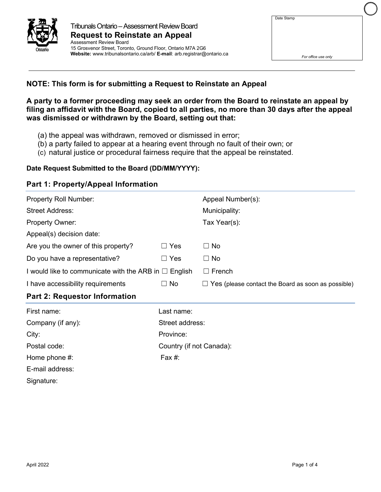

| Date Stamp |  |
|------------|--|
|            |  |
|            |  |
|            |  |
|            |  |
|            |  |

# **NOTE: This form is for submitting a Request to Reinstate an Appeal**

**A party to a former proceeding may seek an order from the Board to reinstate an appeal by filing an affidavit with the Board, copied to all parties, no more than 30 days after the appeal was dismissed or withdrawn by the Board, setting out that:**

- (a) the appeal was withdrawn, removed or dismissed in error;
- (b) a party failed to appear at a hearing event through no fault of their own; or
- (c) natural justice or procedural fairness require that the appeal be reinstated.

### **Date Request Submitted to the Board (DD/MM/YYYY):**

# **Part 1: Property/Appeal Information**

| Property Roll Number:                                      |                          | Appeal Number(s):                                         |
|------------------------------------------------------------|--------------------------|-----------------------------------------------------------|
| <b>Street Address:</b>                                     |                          | Municipality:                                             |
| Property Owner:                                            |                          | Tax Year(s):                                              |
| Appeal(s) decision date:                                   |                          |                                                           |
| Are you the owner of this property?                        | $\Box$ Yes               | $\Box$ No                                                 |
| Do you have a representative?                              | $\Box$ Yes               | $\Box$ No                                                 |
| I would like to communicate with the ARB in $\Box$ English |                          | $\Box$ French                                             |
| I have accessibility requirements                          | $\Box$ No                | $\Box$ Yes (please contact the Board as soon as possible) |
|                                                            |                          |                                                           |
| <b>Part 2: Requestor Information</b>                       |                          |                                                           |
| First name:                                                | Last name:               |                                                           |
| Company (if any):                                          | Street address:          |                                                           |
| City:                                                      | Province:                |                                                           |
| Postal code:                                               | Country (if not Canada): |                                                           |
| Home phone #:                                              | Fax #:                   |                                                           |
| E-mail address:                                            |                          |                                                           |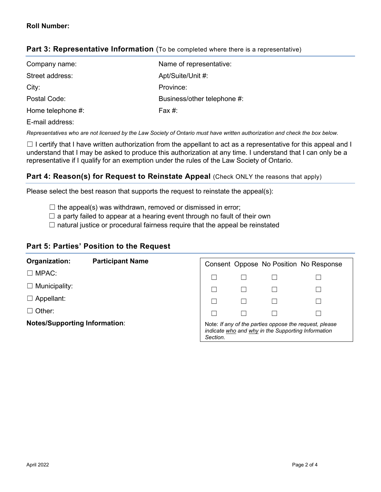| Company name:     | Name of representative:     |
|-------------------|-----------------------------|
| Street address:   | Apt/Suite/Unit #:           |
| City:             | Province:                   |
| Postal Code:      | Business/other telephone #: |
| Home telephone #: | Fax $#$ :                   |
|                   |                             |

# **Part 3: Representative Information** (To be completed where there is a representative)

#### E-mail address:

*Representatives who are not licensed by the Law Society of Ontario must have written authorization and check the box below.*

 $\Box$  I certify that I have written authorization from the appellant to act as a representative for this appeal and I understand that I may be asked to produce this authorization at any time. I understand that I can only be a representative if I qualify for an exemption under the rules of the Law Society of Ontario.

# **Part 4: Reason(s) for Request to Reinstate Appeal** (Check ONLY the reasons that apply)

Please select the best reason that supports the request to reinstate the appeal(s):

- $\Box$  the appeal(s) was withdrawn, removed or dismissed in error;
- $\Box$  a party failed to appear at a hearing event through no fault of their own
- $\Box$  natural justice or procedural fairness require that the appeal be reinstated

## **Part 5: Parties' Position to the Request**

| Organization:                        | <b>Participant Name</b> |                                                                                                                          |  |  | Consent Oppose No Position No Response |  |
|--------------------------------------|-------------------------|--------------------------------------------------------------------------------------------------------------------------|--|--|----------------------------------------|--|
| $\Box$ MPAC:                         |                         |                                                                                                                          |  |  |                                        |  |
| $\Box$ Municipality:                 |                         |                                                                                                                          |  |  |                                        |  |
| $\Box$ Appellant:                    |                         |                                                                                                                          |  |  |                                        |  |
| $\Box$ Other:                        |                         |                                                                                                                          |  |  |                                        |  |
| <b>Notes/Supporting Information:</b> |                         | Note: If any of the parties oppose the request, please<br>indicate who and why in the Supporting Information<br>Section. |  |  |                                        |  |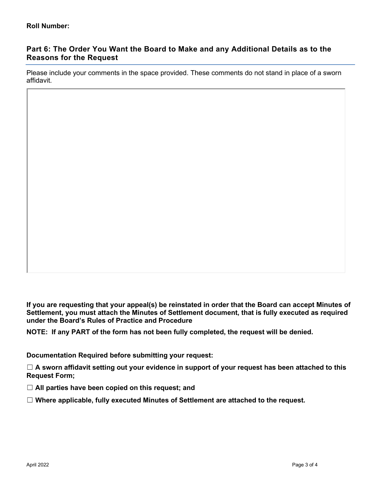# **Part 6: The Order You Want the Board to Make and any Additional Details as to the Reasons for the Request**

Please include your comments in the space provided. These comments do not stand in place of a sworn affidavit.

**If you are requesting that your appeal(s) be reinstated in order that the Board can accept Minutes of Settlement, you must attach the Minutes of Settlement document, that is fully executed as required under the Board's Rules of Practice and Procedure** 

**NOTE: If any PART of the form has not been fully completed, the request will be denied.**

**Documentation Required before submitting your request:**

☐ **A sworn affidavit setting out your evidence in support of your request has been attached to this Request Form;** 

☐ **All parties have been copied on this request; and**

☐ **Where applicable, fully executed Minutes of Settlement are attached to the request.**